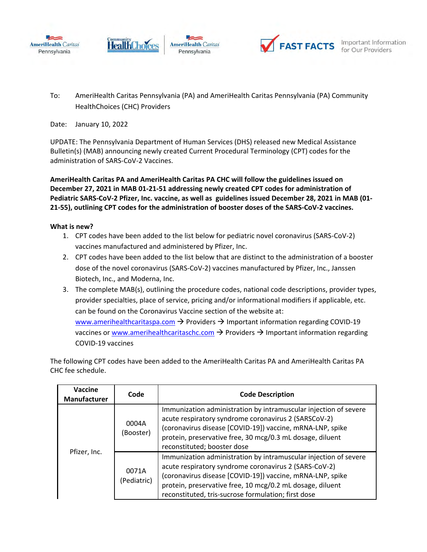





To: AmeriHealth Caritas Pennsylvania (PA) and AmeriHealth Caritas Pennsylvania (PA) Community HealthChoices (CHC) Providers

Date: January 10, 2022

UPDATE: The Pennsylvania Department of Human Services (DHS) released new Medical Assistance Bulletin(s) (MAB) announcing newly created Current Procedural Terminology (CPT) codes for the administration of SARS-CoV-2 Vaccines.

**AmeriHealth Caritas PA and AmeriHealth Caritas PA CHC will follow the guidelines issued on December 27, 2021 in MAB 01-21-51 addressing newly created CPT codes for administration of Pediatric SARS-CoV-2 Pfizer, Inc. vaccine, as well as guidelines issued December 28, 2021 in MAB (01- 21-55), outlining CPT codes for the administration of booster doses of the SARS-CoV-2 vaccines.** 

## **What is new?**

- 1. CPT codes have been added to the list below for pediatric novel coronavirus (SARS-CoV-2) vaccines manufactured and administered by Pfizer, Inc.
- 2. CPT codes have been added to the list below that are distinct to the administration of a booster dose of the novel coronavirus (SARS-CoV-2) vaccines manufactured by Pfizer, Inc., Janssen Biotech, Inc., and Moderna, Inc.
- 3. The complete MAB(s), outlining the procedure codes, national code descriptions, provider types, provider specialties, place of service, pricing and/or informational modifiers if applicable, etc. can be found on the Coronavirus Vaccine section of the website at: [www.amerihealthcaritaspa.com](http://www.amerihealthcaritaspa.com/)  $\rightarrow$  Providers  $\rightarrow$  Important information regarding COVID-19 vaccines or [www.amerihealthcaritaschc.com](http://www.amerihealthcaritaschc.com/)  $\rightarrow$  Providers  $\rightarrow$  Important information regarding COVID-19 vaccines

The following CPT codes have been added to the AmeriHealth Caritas PA and AmeriHealth Caritas PA CHC fee schedule.

| Vaccine<br>Manufacturer | Code                 | <b>Code Description</b>                                                                                                                                                                                                                                                                                    |
|-------------------------|----------------------|------------------------------------------------------------------------------------------------------------------------------------------------------------------------------------------------------------------------------------------------------------------------------------------------------------|
| Pfizer, Inc.            | 0004A<br>(Booster)   | Immunization administration by intramuscular injection of severe<br>acute respiratory syndrome coronavirus 2 (SARSCoV-2)<br>(coronavirus disease [COVID-19]) vaccine, mRNA-LNP, spike<br>protein, preservative free, 30 mcg/0.3 mL dosage, diluent<br>reconstituted; booster dose                          |
|                         | 0071A<br>(Pediatric) | Immunization administration by intramuscular injection of severe<br>acute respiratory syndrome coronavirus 2 (SARS-CoV-2)<br>(coronavirus disease [COVID-19]) vaccine, mRNA-LNP, spike<br>protein, preservative free, 10 mcg/0.2 mL dosage, diluent<br>reconstituted, tris-sucrose formulation; first dose |